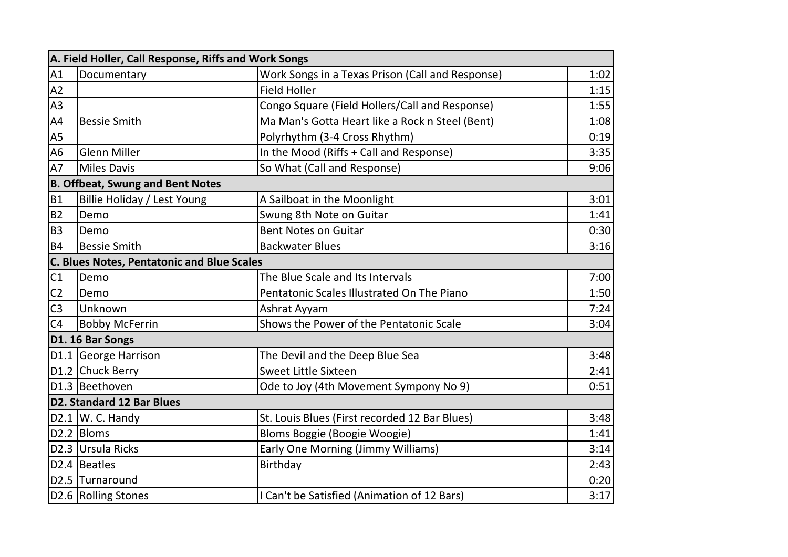| A. Field Holler, Call Response, Riffs and Work Songs |                                            |                                                  |      |
|------------------------------------------------------|--------------------------------------------|--------------------------------------------------|------|
| A1                                                   | Documentary                                | Work Songs in a Texas Prison (Call and Response) | 1:02 |
| A2                                                   |                                            | <b>Field Holler</b>                              | 1:15 |
| A3                                                   |                                            | Congo Square (Field Hollers/Call and Response)   | 1:55 |
| A4                                                   | <b>Bessie Smith</b>                        | Ma Man's Gotta Heart like a Rock n Steel (Bent)  | 1:08 |
| A5                                                   |                                            | Polyrhythm (3-4 Cross Rhythm)                    | 0:19 |
| A6                                                   | <b>Glenn Miller</b>                        | In the Mood (Riffs + Call and Response)          | 3:35 |
| A7                                                   | <b>Miles Davis</b>                         | So What (Call and Response)                      | 9:06 |
|                                                      | <b>B. Offbeat, Swung and Bent Notes</b>    |                                                  |      |
| <b>B1</b>                                            | Billie Holiday / Lest Young                | A Sailboat in the Moonlight                      | 3:01 |
| <b>B2</b>                                            | Demo                                       | Swung 8th Note on Guitar                         | 1:41 |
| <b>B3</b>                                            | Demo                                       | <b>Bent Notes on Guitar</b>                      | 0:30 |
| <b>B4</b>                                            | <b>Bessie Smith</b>                        | <b>Backwater Blues</b>                           | 3:16 |
|                                                      | C. Blues Notes, Pentatonic and Blue Scales |                                                  |      |
| C1                                                   | Demo                                       | The Blue Scale and Its Intervals                 | 7:00 |
| C2                                                   | Demo                                       | Pentatonic Scales Illustrated On The Piano       | 1:50 |
| C <sub>3</sub>                                       | Unknown                                    | Ashrat Ayyam                                     | 7:24 |
| C <sub>4</sub>                                       | <b>Bobby McFerrin</b>                      | Shows the Power of the Pentatonic Scale          | 3:04 |
|                                                      | D1. 16 Bar Songs                           |                                                  |      |
|                                                      | D1.1 George Harrison                       | The Devil and the Deep Blue Sea                  | 3:48 |
|                                                      | D1.2 Chuck Berry                           | Sweet Little Sixteen                             | 2:41 |
|                                                      | D1.3 Beethoven                             | Ode to Joy (4th Movement Sympony No 9)           | 0:51 |
|                                                      | <b>D2. Standard 12 Bar Blues</b>           |                                                  |      |
|                                                      | $D2.1$ W. C. Handy                         | St. Louis Blues (First recorded 12 Bar Blues)    | 3:48 |
|                                                      | D <sub>2.2</sub> Bloms                     | Bloms Boggie (Boogie Woogie)                     | 1:41 |
|                                                      | D2.3 Ursula Ricks                          | Early One Morning (Jimmy Williams)               | 3:14 |
|                                                      | D2.4 Beatles                               | Birthday                                         | 2:43 |
|                                                      | D2.5 Turnaround                            |                                                  | 0:20 |
|                                                      | D2.6 Rolling Stones                        | I Can't be Satisfied (Animation of 12 Bars)      | 3:17 |